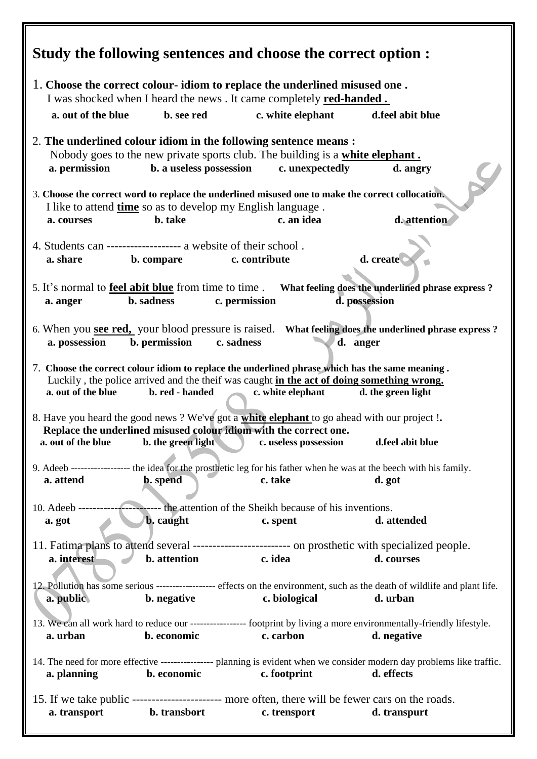| Study the following sentences and choose the correct option :                                                                                                                                                                                                                    |                                           |  |  |  |  |
|----------------------------------------------------------------------------------------------------------------------------------------------------------------------------------------------------------------------------------------------------------------------------------|-------------------------------------------|--|--|--|--|
| 1. Choose the correct colour-idiom to replace the underlined misused one.<br>I was shocked when I heard the news. It came completely <b>red-handed.</b>                                                                                                                          |                                           |  |  |  |  |
| a. out of the blue<br>b. see red                                                                                                                                                                                                                                                 | c. white elephant<br>d.feel abit blue     |  |  |  |  |
| 2. The underlined colour idiom in the following sentence means :<br>Nobody goes to the new private sports club. The building is a white elephant.                                                                                                                                |                                           |  |  |  |  |
| b. a useless possession<br>a. permission                                                                                                                                                                                                                                         | c. unexpectedly<br>d. angry               |  |  |  |  |
| 3. Choose the correct word to replace the underlined misused one to make the correct collocation.<br>I like to attend time so as to develop my English language.<br>c. an idea<br>d. attention<br>b. take<br>a. courses                                                          |                                           |  |  |  |  |
| 4. Students can ------------------- a website of their school.<br>b. compare<br>a. share<br>c. contribute                                                                                                                                                                        | d. create                                 |  |  |  |  |
| 5. It's normal to <b>feel abit blue</b> from time to time. What feeling does the underlined phrase express?                                                                                                                                                                      |                                           |  |  |  |  |
| b. sadness<br>c. permission<br>a. anger                                                                                                                                                                                                                                          | d. possession                             |  |  |  |  |
| 6. When you see red, your blood pressure is raised. What feeling does the underlined phrase express?<br>a. possession<br>b. permission<br>c. sadness<br>d. anger                                                                                                                 |                                           |  |  |  |  |
| 7. Choose the correct colour idiom to replace the underlined phrase which has the same meaning.<br>Luckily, the police arrived and the theif was caught in the act of doing something wrong.<br>b. red - handed<br>c. white elephant<br>d. the green light<br>a. out of the blue |                                           |  |  |  |  |
| 8. Have you heard the good news ? We've got a white elephant to go ahead with our project !.<br>Replace the underlined misused colour idiom with the correct one.                                                                                                                |                                           |  |  |  |  |
| <b>b.</b> the green light<br>a. out of the blue                                                                                                                                                                                                                                  | c. useless possession<br>d.feel abit blue |  |  |  |  |
| 9. Adeeb --------------------- the idea for the prosthetic leg for his father when he was at the beech with his family.<br>b. spend<br>a. attend                                                                                                                                 | c. take<br>d. got                         |  |  |  |  |
| 10. Adeeb ---------                                                                                                                                                                                                                                                              |                                           |  |  |  |  |
| <b>b.</b> caught<br>a. got                                                                                                                                                                                                                                                       | d. attended<br>c. spent                   |  |  |  |  |
| 11. Fatima plans to attend several --------------------------- on prosthetic with specialized people.<br>a. interest<br><b>b.</b> attention                                                                                                                                      | c. idea<br>d. courses                     |  |  |  |  |
| 12. Pollution has some serious ----------------- effects on the environment, such as the death of wildlife and plant life.<br>a. public.<br>b. negative                                                                                                                          | c. biological<br>d. urban                 |  |  |  |  |
| 13. We can all work hard to reduce our ------------------ footprint by living a more environmentally-friendly lifestyle.<br>b. economic<br>a. urban                                                                                                                              | c. carbon<br>d. negative                  |  |  |  |  |
| 14. The need for more effective ---------------- planning is evident when we consider modern day problems like traffic.<br>b. economic<br>a. planning                                                                                                                            | c. footprint<br>d. effects                |  |  |  |  |
| 15. If we take public ----------------------- more often, there will be fewer cars on the roads.<br>a. transport<br>b. transbort                                                                                                                                                 | c. trensport<br>d. transpurt              |  |  |  |  |